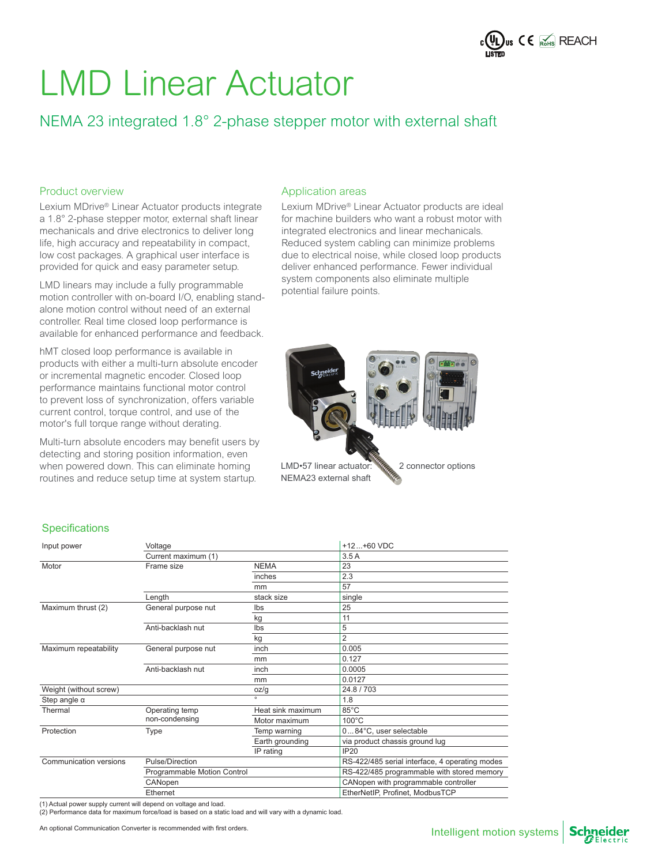

## NEMA 23 integrated 1.8° 2-phase stepper motor with external shaft

#### Product overview

Lexium MDrive® Linear Actuator products integrate a 1.8° 2-phase stepper motor, external shaft linear mechanicals and drive electronics to deliver long life, high accuracy and repeatability in compact, low cost packages. A graphical user interface is provided for quick and easy parameter setup.

LMD linears may include a fully programmable motion controller with on-board I/O, enabling standalone motion control without need of an external controller. Real time closed loop performance is available for enhanced performance and feedback.

hMT closed loop performance is available in products with either a multi-turn absolute encoder or incremental magnetic encoder. Closed loop performance maintains functional motor control to prevent loss of synchronization, offers variable current control, torque control, and use of the motor's full torque range without derating.

Multi-turn absolute encoders may benefit users by detecting and storing position information, even when powered down. This can eliminate homing routines and reduce setup time at system startup.

#### Application areas

Lexium MDrive® Linear Actuator products are ideal for machine builders who want a robust motor with integrated electronics and linear mechanicals. Reduced system cabling can minimize problems due to electrical noise, while closed loop products deliver enhanced performance. Fewer individual system components also eliminate multiple potential failure points.



### **Specifications**

| Input power            | Voltage                     |                   | $+12+60$ VDC                                   |  |  |  |  |  |  |
|------------------------|-----------------------------|-------------------|------------------------------------------------|--|--|--|--|--|--|
|                        | Current maximum (1)         |                   | 3.5A                                           |  |  |  |  |  |  |
| Motor                  | Frame size                  | <b>NEMA</b>       | 23                                             |  |  |  |  |  |  |
|                        |                             | inches            | 2.3                                            |  |  |  |  |  |  |
|                        |                             | mm                | 57                                             |  |  |  |  |  |  |
|                        | Length                      | stack size        | single                                         |  |  |  |  |  |  |
| Maximum thrust (2)     | General purpose nut         | Ibs               | 25                                             |  |  |  |  |  |  |
|                        |                             | kg                | 11                                             |  |  |  |  |  |  |
|                        | Anti-backlash nut           | Ibs               | 5                                              |  |  |  |  |  |  |
|                        |                             | kg                | $\overline{2}$                                 |  |  |  |  |  |  |
| Maximum repeatability  | General purpose nut         | inch              | 0.005                                          |  |  |  |  |  |  |
|                        |                             | mm                | 0.127                                          |  |  |  |  |  |  |
|                        | Anti-backlash nut           | inch              | 0.0005                                         |  |  |  |  |  |  |
|                        |                             | mm                | 0.0127                                         |  |  |  |  |  |  |
| Weight (without screw) |                             | oz/g              | 24.8/703                                       |  |  |  |  |  |  |
| Step angle $\alpha$    |                             | $\alpha$          | 1.8                                            |  |  |  |  |  |  |
| Thermal                | Operating temp              | Heat sink maximum | 85°C                                           |  |  |  |  |  |  |
|                        | non-condensing              | Motor maximum     | $100^{\circ}$ C                                |  |  |  |  |  |  |
| Protection             | Type                        | Temp warning      | 084°C, user selectable                         |  |  |  |  |  |  |
|                        |                             | Earth grounding   | via product chassis ground lug                 |  |  |  |  |  |  |
|                        |                             | IP rating         | <b>IP20</b>                                    |  |  |  |  |  |  |
| Communication versions | Pulse/Direction             |                   | RS-422/485 serial interface, 4 operating modes |  |  |  |  |  |  |
|                        | Programmable Motion Control |                   | RS-422/485 programmable with stored memory     |  |  |  |  |  |  |
|                        | CANopen                     |                   | CANopen with programmable controller           |  |  |  |  |  |  |
|                        | Ethernet                    |                   | EtherNetIP, Profinet, ModbusTCP                |  |  |  |  |  |  |

(1) Actual power supply current will depend on voltage and load.

(2) Performance data for maximum force/load is based on a static load and will vary with a dynamic load.

An optional Communication Converter is recommended with first orders.

**Schneider**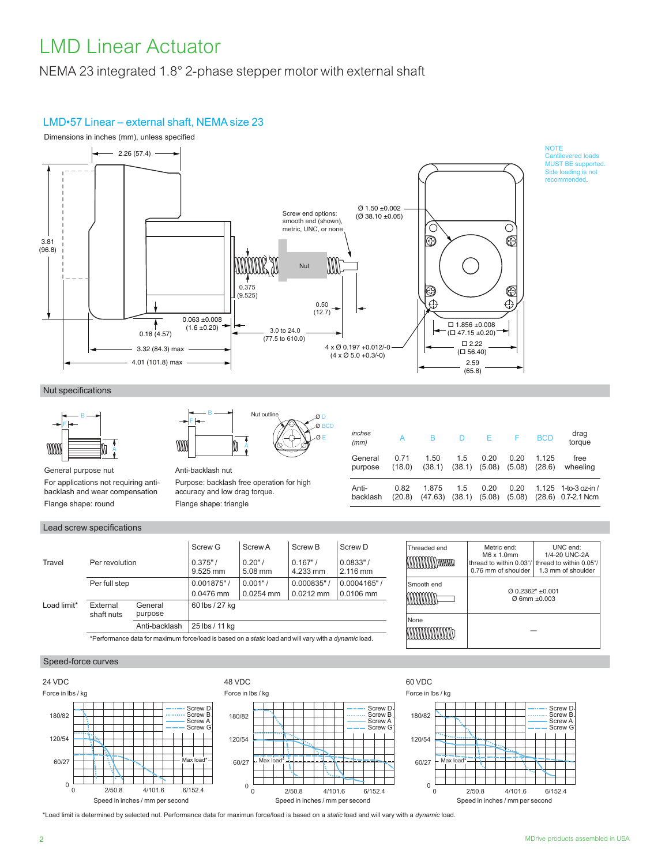NEMA 23 integrated 1.8° 2-phase stepper motor with external shaft

### LMD•57 Linear – external shaft, NEMA size 23



Ø E  $\alpha$ 

Nut specifications



General purpose nut For applications not requiring antibacklash and wear compensation Flange shape: round

#### Lead screw specifications

|                          |                                                                                                              |                    | Screw G                | Screw A          | Screw B            | Screw D             |  |  |
|--------------------------|--------------------------------------------------------------------------------------------------------------|--------------------|------------------------|------------------|--------------------|---------------------|--|--|
| Per revolution<br>Travel |                                                                                                              |                    | $0.375"$ /<br>9.525 mm | 0.20"<br>5.08 mm | 0.167"<br>4.233 mm | 0.0833"<br>2.116 mm |  |  |
|                          | Per full step                                                                                                |                    | 0.001875"              | 0.001"           | 0.000835"          | 0.0004165"          |  |  |
|                          |                                                                                                              |                    | 0.0476 mm              | 0.0254 mm        | $0.0212$ mm        | $0.0106$ mm         |  |  |
| Load limit*              | External<br>shaft nuts                                                                                       | General<br>purpose | 60 lbs / 27 kg         |                  |                    |                     |  |  |
|                          |                                                                                                              | Anti-backlash      | 25 lbs / 11 kg         |                  |                    |                     |  |  |
|                          | *Performance data for maximum force/load is based on a static load and will vary with a <i>dynamic</i> load. |                    |                        |                  |                    |                     |  |  |

Anti-backlash nut

B F

Purpose: backlash free operation for high accuracy and low drag torque. Flange shape: triangle

A

Nut ou

| purpose  | (18.0) | (38.1)  | (38.1) | (5.08) | (5.08) | (28.6) | wheeling               |
|----------|--------|---------|--------|--------|--------|--------|------------------------|
| Anti-    | 0.82   | 1.875   | 1.5    | 0.20   | 0.20   |        | $1.125$ 1-to-3 oz-in / |
| backlash | (20.8) | (47.63) | (38.1) | (5.08) | (5.08) |        | (28.6) 0.7-2.1 Ncm     |

| Threaded end | Metric end:<br>M6 x 1.0mm<br>thread to within 0.03"/ thread to within 0.05"/<br>0.76 mm of shoulder | UNC end:<br>1/4-20 UNC-2A<br>1.3 mm of shoulder |  |  |  |
|--------------|-----------------------------------------------------------------------------------------------------|-------------------------------------------------|--|--|--|
| Smooth end   | $Q$ 0.2362" +0.001<br>$\varnothing$ 6mm +0.003                                                      |                                                 |  |  |  |
| None         |                                                                                                     |                                                 |  |  |  |

#### Speed-force curves



\*Load limit is determined by selected nut. Performance data for maximun force/load is based on a *static* load and will vary with a *dynamic* load.

Screw D Screw B Screw A Screw G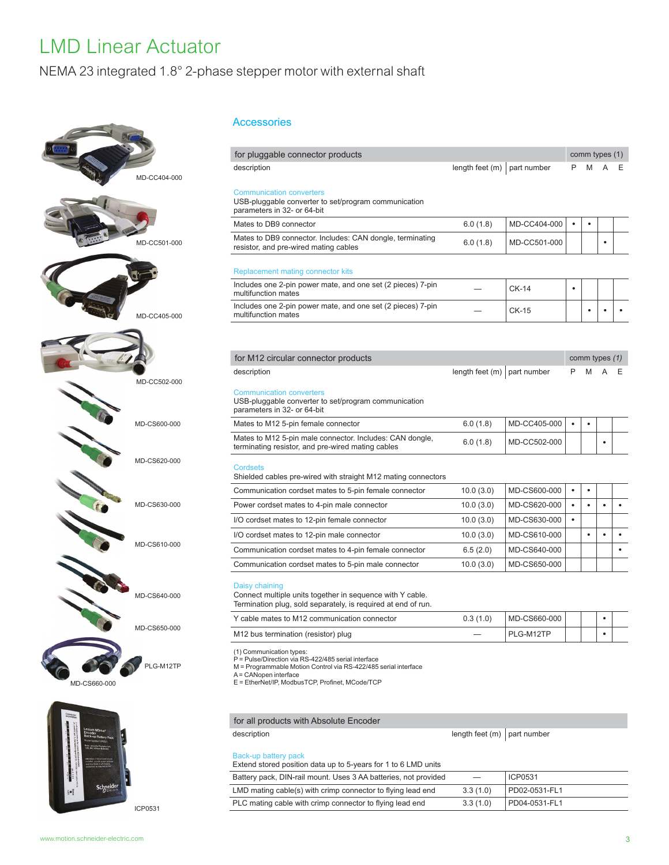### NEMA 23 integrated 1.8° 2-phase stepper motor with external shaft





Accessories

| for pluggable connector products                                                                                                                                                                                               |                                 |              |           | comm types (1) |                |  |
|--------------------------------------------------------------------------------------------------------------------------------------------------------------------------------------------------------------------------------|---------------------------------|--------------|-----------|----------------|----------------|--|
| description                                                                                                                                                                                                                    | length feet $(m)$   part number |              | P         | M              |                |  |
| <b>Communication converters</b><br>USB-pluggable converter to set/program communication<br>parameters in 32- or 64-bit                                                                                                         |                                 |              |           |                |                |  |
| Mates to DB9 connector                                                                                                                                                                                                         | 6.0(1.8)                        | MD-CC404-000 | ٠         | $\bullet$      |                |  |
| Mates to DB9 connector. Includes: CAN dongle, terminating<br>resistor, and pre-wired mating cables                                                                                                                             | 6.0(1.8)                        | MD-CC501-000 |           |                | ٠              |  |
| <b>Replacement mating connector kits</b>                                                                                                                                                                                       |                                 |              |           |                |                |  |
| Includes one 2-pin power mate, and one set (2 pieces) 7-pin<br>multifunction mates                                                                                                                                             |                                 | $CK-14$      | ٠         |                |                |  |
| Includes one 2-pin power mate, and one set (2 pieces) 7-pin<br>multifunction mates                                                                                                                                             |                                 | $CK-15$      |           |                |                |  |
|                                                                                                                                                                                                                                |                                 |              |           |                |                |  |
| for M12 circular connector products                                                                                                                                                                                            |                                 |              |           |                | comm types (1) |  |
| description                                                                                                                                                                                                                    | length feet (m)                 | part number  | P         | M              |                |  |
| <b>Communication converters</b><br>USB-pluggable converter to set/program communication<br>parameters in 32- or 64-bit                                                                                                         |                                 |              |           |                |                |  |
| Mates to M12 5-pin female connector                                                                                                                                                                                            | 6.0(1.8)                        | MD-CC405-000 | $\bullet$ | $\bullet$      |                |  |
| Mates to M12 5-pin male connector. Includes: CAN dongle,<br>terminating resistor, and pre-wired mating cables                                                                                                                  | 6.0(1.8)                        | MD-CC502-000 |           |                | ٠              |  |
| <b>Cordsets</b><br>Shielded cables pre-wired with straight M12 mating connectors                                                                                                                                               |                                 |              |           |                |                |  |
| Communication cordset mates to 5-pin female connector                                                                                                                                                                          | 10.0(3.0)                       | MD-CS600-000 | $\bullet$ | $\bullet$      |                |  |
| Power cordset mates to 4-pin male connector                                                                                                                                                                                    | 10.0(3.0)                       | MD-CS620-000 | $\bullet$ | $\bullet$      | $\bullet$      |  |
| I/O cordset mates to 12-pin female connector                                                                                                                                                                                   | 10.0(3.0)                       | MD-CS630-000 | $\bullet$ |                |                |  |
| I/O cordset mates to 12-pin male connector                                                                                                                                                                                     | 10.0(3.0)                       | MD-CS610-000 |           | $\bullet$      |                |  |
| Communication cordset mates to 4-pin female connector                                                                                                                                                                          | 6.5(2.0)                        | MD-CS640-000 |           |                |                |  |
| Communication cordset mates to 5-pin male connector                                                                                                                                                                            | 10.0(3.0)                       | MD-CS650-000 |           |                |                |  |
| Daisy chaining<br>Connect multiple units together in sequence with Y cable.<br>Termination plug, sold separately, is required at end of run.                                                                                   |                                 |              |           |                |                |  |
| Y cable mates to M12 communication connector                                                                                                                                                                                   | 0.3(1.0)                        | MD-CS660-000 |           |                | $\bullet$      |  |
| M12 bus termination (resistor) plug                                                                                                                                                                                            |                                 | PLG-M12TP    |           |                |                |  |
| (1) Communication types:<br>P = Pulse/Direction via RS-422/485 serial interface<br>M = Programmable Motion Control via RS-422/485 serial interface<br>A = CANopen interface<br>E = EtherNet/IP, ModbusTCP, Profinet, MCode/TCP |                                 |              |           |                |                |  |

### for all products with Absolute Encoder

| description                                                                            | length feet $(m)$ part number |               |
|----------------------------------------------------------------------------------------|-------------------------------|---------------|
| Back-up battery pack<br>Extend stored position data up to 5-years for 1 to 6 LMD units |                               |               |
| Battery pack, DIN-rail mount. Uses 3 AA batteries, not provided                        |                               | ICP0531       |
| LMD mating cable(s) with crimp connector to flying lead end                            | 3.3(1.0)                      | PD02-0531-FL1 |
| PLC mating cable with crimp connector to flying lead end                               | 3.3(1.0)                      | PD04-0531-FL1 |